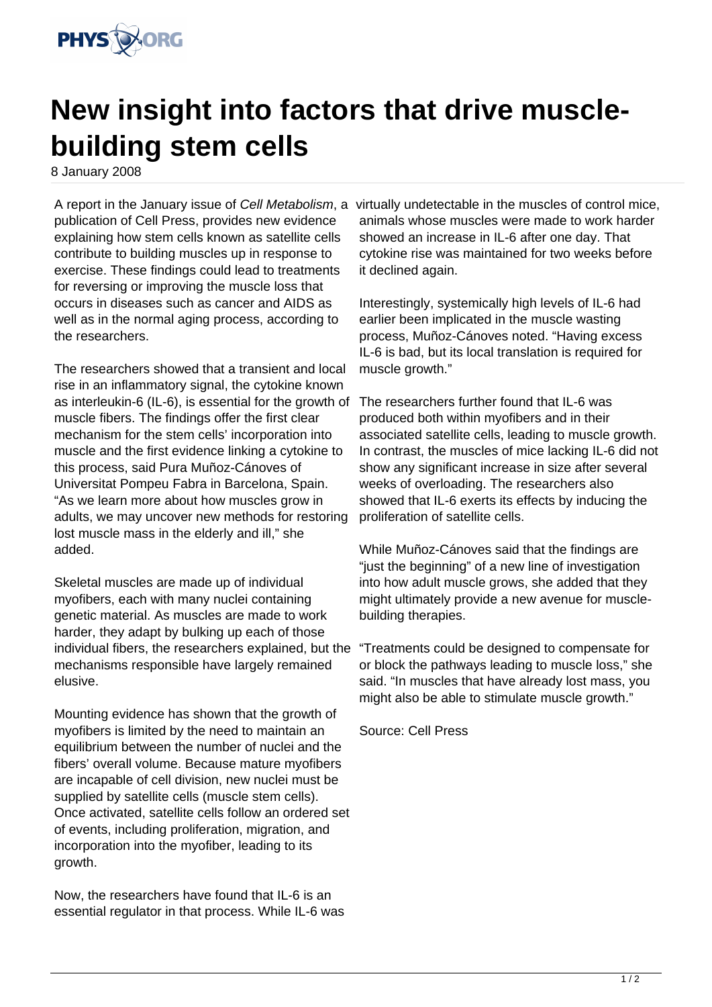

## **New insight into factors that drive musclebuilding stem cells**

8 January 2008

publication of Cell Press, provides new evidence explaining how stem cells known as satellite cells contribute to building muscles up in response to exercise. These findings could lead to treatments for reversing or improving the muscle loss that occurs in diseases such as cancer and AIDS as well as in the normal aging process, according to the researchers.

The researchers showed that a transient and local rise in an inflammatory signal, the cytokine known as interleukin-6 (IL-6), is essential for the growth of muscle fibers. The findings offer the first clear mechanism for the stem cells' incorporation into muscle and the first evidence linking a cytokine to this process, said Pura Muñoz-Cánoves of Universitat Pompeu Fabra in Barcelona, Spain. "As we learn more about how muscles grow in adults, we may uncover new methods for restoring lost muscle mass in the elderly and ill," she added.

Skeletal muscles are made up of individual myofibers, each with many nuclei containing genetic material. As muscles are made to work harder, they adapt by bulking up each of those individual fibers, the researchers explained, but the mechanisms responsible have largely remained elusive.

Mounting evidence has shown that the growth of myofibers is limited by the need to maintain an equilibrium between the number of nuclei and the fibers' overall volume. Because mature myofibers are incapable of cell division, new nuclei must be supplied by satellite cells (muscle stem cells). Once activated, satellite cells follow an ordered set of events, including proliferation, migration, and incorporation into the myofiber, leading to its growth.

Now, the researchers have found that IL-6 is an essential regulator in that process. While IL-6 was

A report in the January issue of Cell Metabolism, a virtually undetectable in the muscles of control mice, animals whose muscles were made to work harder showed an increase in IL-6 after one day. That cytokine rise was maintained for two weeks before it declined again.

> Interestingly, systemically high levels of IL-6 had earlier been implicated in the muscle wasting process, Muñoz-Cánoves noted. "Having excess IL-6 is bad, but its local translation is required for muscle growth."

The researchers further found that IL-6 was produced both within myofibers and in their associated satellite cells, leading to muscle growth. In contrast, the muscles of mice lacking IL-6 did not show any significant increase in size after several weeks of overloading. The researchers also showed that IL-6 exerts its effects by inducing the proliferation of satellite cells.

While Muñoz-Cánoves said that the findings are "just the beginning" of a new line of investigation into how adult muscle grows, she added that they might ultimately provide a new avenue for musclebuilding therapies.

"Treatments could be designed to compensate for or block the pathways leading to muscle loss," she said. "In muscles that have already lost mass, you might also be able to stimulate muscle growth."

Source: Cell Press